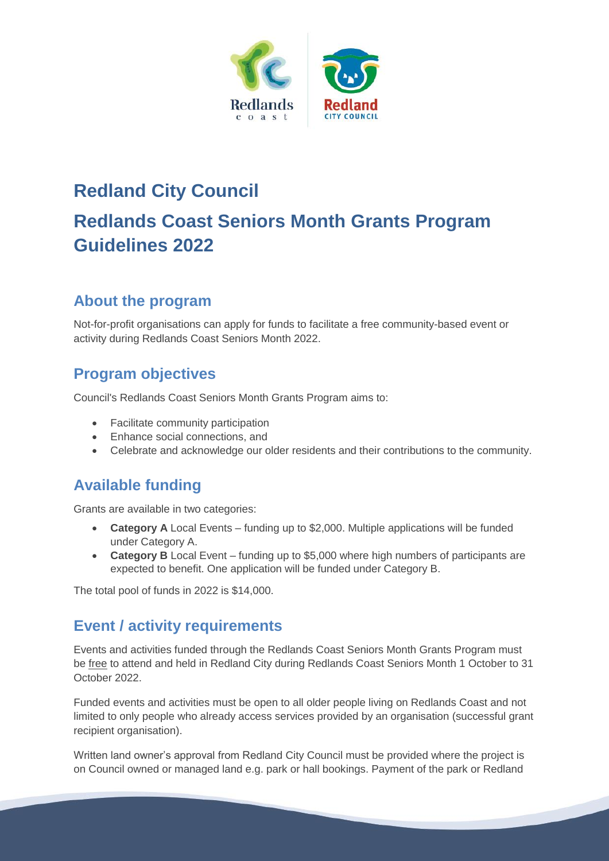

# **Redland City Council Redlands Coast Seniors Month Grants Program Guidelines 2022**

# **About the program**

Not-for-profit organisations can apply for funds to facilitate a free community-based event or activity during Redlands Coast Seniors Month 2022.

#### **Program objectives**

Council's Redlands Coast Seniors Month Grants Program aims to:

- Facilitate community participation
- Enhance social connections, and
- Celebrate and acknowledge our older residents and their contributions to the community.

# **Available funding**

Grants are available in two categories:

- **Category A** Local Events funding up to \$2,000. Multiple applications will be funded under Category A.
- **Category B** Local Event funding up to \$5,000 where high numbers of participants are expected to benefit. One application will be funded under Category B.

The total pool of funds in 2022 is \$14,000.

# **Event / activity requirements**

Events and activities funded through the Redlands Coast Seniors Month Grants Program must be free to attend and held in Redland City during Redlands Coast Seniors Month 1 October to 31 October 2022.

Funded events and activities must be open to all older people living on Redlands Coast and not limited to only people who already access services provided by an organisation (successful grant recipient organisation).

Written land owner's approval from Redland City Council must be provided where the project is on Council owned or managed land e.g. park or hall bookings. Payment of the park or Redland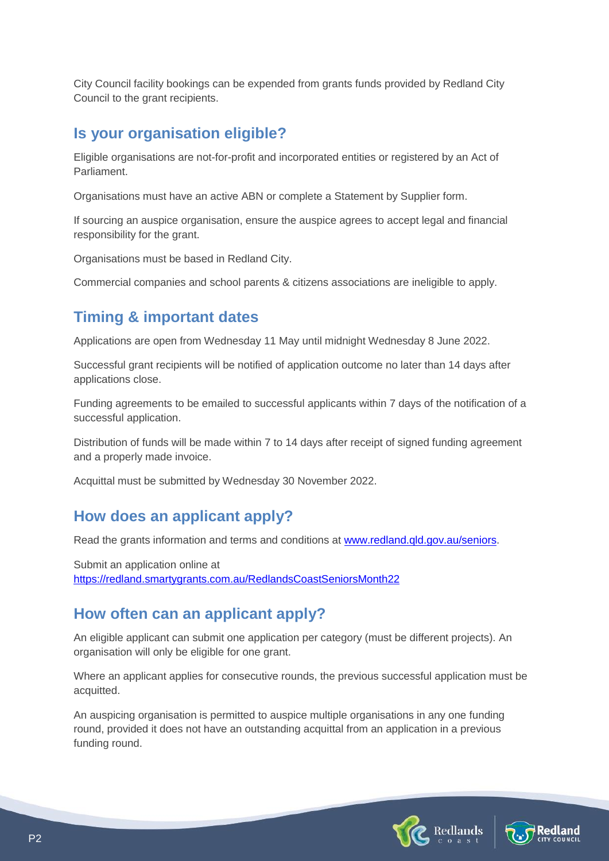City Council facility bookings can be expended from grants funds provided by Redland City Council to the grant recipients.

### **Is your organisation eligible?**

Eligible organisations are not-for-profit and incorporated entities or registered by an Act of Parliament.

Organisations must have an active ABN or complete a Statement by Supplier form.

If sourcing an auspice organisation, ensure the auspice agrees to accept legal and financial responsibility for the grant.

Organisations must be based in Redland City.

Commercial companies and school parents & citizens associations are ineligible to apply.

# **Timing & important dates**

Applications are open from Wednesday 11 May until midnight Wednesday 8 June 2022.

Successful grant recipients will be notified of application outcome no later than 14 days after applications close.

Funding agreements to be emailed to successful applicants within 7 days of the notification of a successful application.

Distribution of funds will be made within 7 to 14 days after receipt of signed funding agreement and a properly made invoice.

Acquittal must be submitted by Wednesday 30 November 2022.

# **How does an applicant apply?**

Read the grants information and terms and conditions at [www.redland.qld.gov.au/seniors.](http://www.redland.qld.gov.au/seniors)

Submit an application online at <https://redland.smartygrants.com.au/RedlandsCoastSeniorsMonth22>

# **How often can an applicant apply?**

An eligible applicant can submit one application per category (must be different projects). An organisation will only be eligible for one grant.

Where an applicant applies for consecutive rounds, the previous successful application must be acquitted.

An auspicing organisation is permitted to auspice multiple organisations in any one funding round, provided it does not have an outstanding acquittal from an application in a previous funding round.



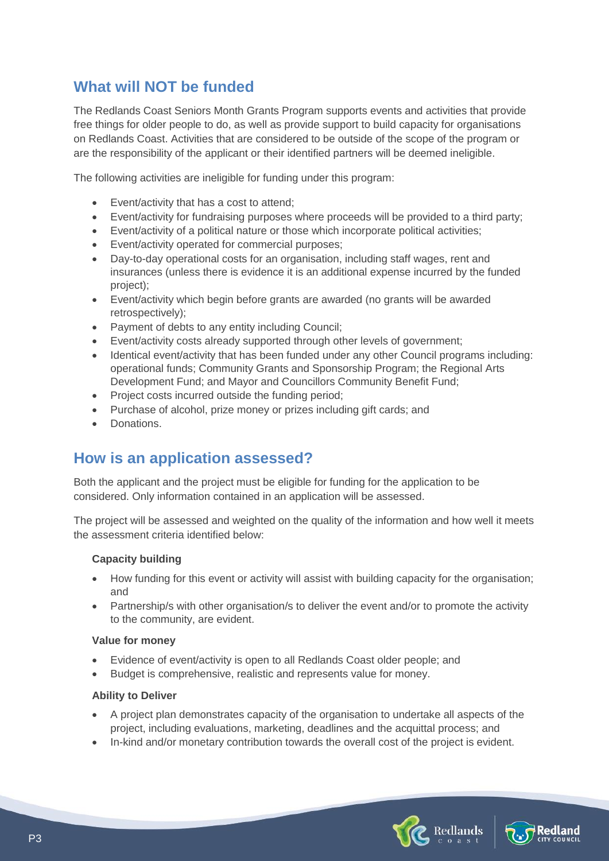### **What will NOT be funded**

The Redlands Coast Seniors Month Grants Program supports events and activities that provide free things for older people to do, as well as provide support to build capacity for organisations on Redlands Coast. Activities that are considered to be outside of the scope of the program or are the responsibility of the applicant or their identified partners will be deemed ineligible.

The following activities are ineligible for funding under this program:

- Event/activity that has a cost to attend;
- Event/activity for fundraising purposes where proceeds will be provided to a third party;
- Event/activity of a political nature or those which incorporate political activities;
- Event/activity operated for commercial purposes;
- Day-to-day operational costs for an organisation, including staff wages, rent and insurances (unless there is evidence it is an additional expense incurred by the funded project);
- Event/activity which begin before grants are awarded (no grants will be awarded retrospectively);
- Payment of debts to any entity including Council:
- Event/activity costs already supported through other levels of government;
- Identical event/activity that has been funded under any other Council programs including: operational funds; Community Grants and Sponsorship Program; the Regional Arts Development Fund; and Mayor and Councillors Community Benefit Fund;
- Project costs incurred outside the funding period;
- Purchase of alcohol, prize money or prizes including gift cards; and
- Donations.

#### **How is an application assessed?**

Both the applicant and the project must be eligible for funding for the application to be considered. Only information contained in an application will be assessed.

The project will be assessed and weighted on the quality of the information and how well it meets the assessment criteria identified below:

#### **Capacity building**

- How funding for this event or activity will assist with building capacity for the organisation; and
- Partnership/s with other organisation/s to deliver the event and/or to promote the activity to the community, are evident.

#### **Value for money**

- Evidence of event/activity is open to all Redlands Coast older people; and
- Budget is comprehensive, realistic and represents value for money.

#### **Ability to Deliver**

- A project plan demonstrates capacity of the organisation to undertake all aspects of the project, including evaluations, marketing, deadlines and the acquittal process; and
- In-kind and/or monetary contribution towards the overall cost of the project is evident.